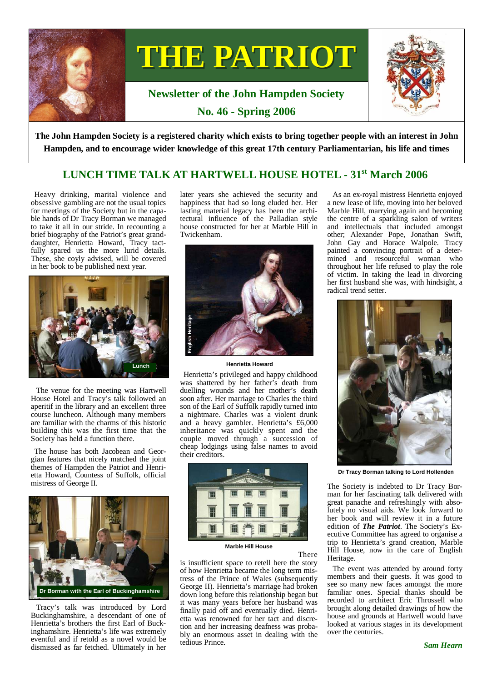

# THE PATRIOT

# **Newsletter of the John Hampden Society No. 46 - Spring 2006**



**The John Hampden Society is a registered charity which exists to bring together people with an interest in John Hampden, and to encourage wider knowledge of this great 17th century Parliamentarian, his life and times** 

# **LUNCH TIME TALK AT HARTWELL HOUSE HOTEL - 31st March 2006**

Heavy drinking, marital violence and obsessive gambling are not the usual topics for meetings of the Society but in the capable hands of Dr Tracy Borman we managed to take it all in our stride. In recounting a brief biography of the Patriot's great granddaughter, Henrietta Howard, Tracy tactfully spared us the more lurid details. These, she coyly advised, will be covered in her book to be published next year.



 The venue for the meeting was Hartwell House Hotel and Tracy's talk followed an aperitif in the library and an excellent three course luncheon. Although many members are familiar with the charms of this historic building this was the first time that the Society has held a function there.

The house has both Jacobean and Georgian features that nicely matched the joint themes of Hampden the Patriot and Henrietta Howard, Countess of Suffolk, official mistress of George II.



 Tracy's talk was introduced by Lord Buckinghamshire, a descendant of one of Henrietta's brothers the first Earl of Buckinghamshire. Henrietta's life was extremely eventful and if retold as a novel would be dismissed as far fetched. Ultimately in her later years she achieved the security and happiness that had so long eluded her. Her lasting material legacy has been the architectural influence of the Palladian style house constructed for her at Marble Hill in Twickenham.



**Henrietta Howard** 

Henrietta's privileged and happy childhood was shattered by her father's death from duelling wounds and her mother's death soon after. Her marriage to Charles the third son of the Earl of Suffolk rapidly turned into a nightmare. Charles was a violent drunk and a heavy gambler. Henrietta's £6,000 inheritance was quickly spent and the couple moved through a succession of cheap lodgings using false names to avoid their creditors.



**Marble Hill House** 

There is insufficient space to retell here the story of how Henrietta became the long term mistress of the Prince of Wales (subsequently George II). Henrietta's marriage had broken down long before this relationship began but it was many years before her husband was finally paid off and eventually died. Henrietta was renowned for her tact and discretion and her increasing deafness was probably an enormous asset in dealing with the tedious Prince.

 As an ex-royal mistress Henrietta enjoyed a new lease of life, moving into her beloved Marble Hill, marrying again and becoming the centre of a sparkling salon of writers and intellectuals that included amongst other; Alexander Pope, Jonathan Swift, John Gay and Horace Walpole. Tracy painted a convincing portrait of a determined and resourceful woman who throughout her life refused to play the role of victim. In taking the lead in divorcing her first husband she was, with hindsight, a radical trend setter.



**Dr Tracy Borman talking to Lord Hollenden** 

The Society is indebted to Dr Tracy Borman for her fascinating talk delivered with great panache and refreshingly with absolutely no visual aids. We look forward to her book and will review it in a future edition of *The Patriot*. The Society's Executive Committee has agreed to organise a trip to Henrietta's grand creation, Marble Hill House, now in the care of English Heritage.

 The event was attended by around forty members and their guests. It was good to see so many new faces amongst the more familiar ones. Special thanks should be recorded to architect Eric Throssell who brought along detailed drawings of how the house and grounds at Hartwell would have looked at various stages in its development over the centuries.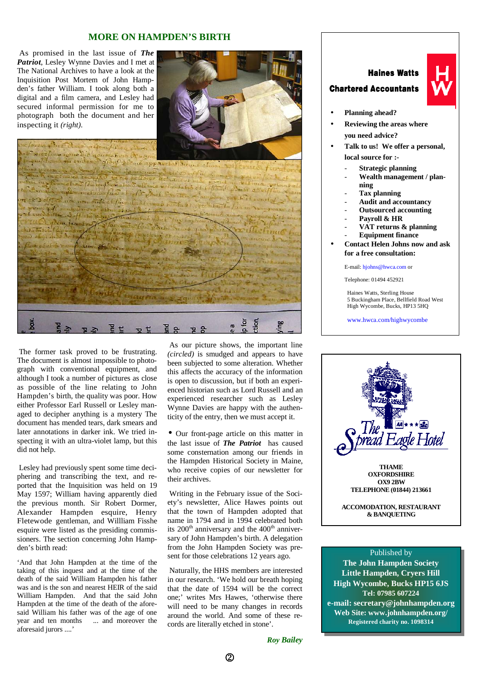## **MORE ON HAMPDEN'S BIRTH**

 As promised in the last issue of *The Patriot*, Lesley Wynne Davies and I met at The National Archives to have a look at the Inquisition Post Mortem of John Hampden's father William. I took along both a digital and a film camera, and Lesley had secured informal permission for me to photograph both the document and her inspecting it *(right)*.



# Suchon Bush Of women malices virilent House of the appearance of the same of theme and two parties of the posterior performance of the private section of the private section of the private section of the private section of the private section of the private section of the private section of the private s police matrix of the Little of the Content of the fourth police a varify in modernes folm That Thursday what They apho Xox  $E = \frac{1}{2}$  $\frac{1}{2}$   $\frac{1}{2}$  $78$

 The former task proved to be frustrating. The document is almost impossible to photograph with conventional equipment, and  $a$ <sup>1</sup> although I took a number of pictures as close as possible of the line relating to John Hampden's birth, the quality was poor. How either Professor Earl Russell or Lesley managed to decipher anything is a mystery The document has mended tears, dark smears and later annotations in darker ink. We tried inspecting it with an ultra-violet lamp, but this did not help.

 Lesley had previously spent some time deciphering and transcribing the text, and reported that the Inquisition was held on 19 May 1597; William having apparently died the previous month. Sir Robert Dormer, Alexander Hampden esquire, Henry Fletewode gentleman, and Willliam Fisshe esquire were listed as the presiding commissioners. The section concerning John Hampden's birth read:

'And that John Hampden at the time of the taking of this inquest and at the time of the death of the said William Hampden his father was and is the son and nearest HEIR of the said William Hampden. And that the said John Hampden at the time of the death of the aforesaid William his father was of the age of one year and ten months ... and moreover the aforesaid jurors ....'

 As our picture shows, the important line *(circled)* is smudged and appears to have been subjected to some alteration. Whether this affects the accuracy of the information is open to discussion, but if both an experienced historian such as Lord Russell and an experienced researcher such as Lesley Wynne Davies are happy with the authenticity of the entry, then we must accept it.

• Our front-page article on this matter in the last issue of *The Patriot* has caused some consternation among our friends in the Hampden Historical Society in Maine, who receive copies of our newsletter for their archives.

 Writing in the February issue of the Society's newsletter, Alice Hawes points out that the town of Hampden adopted that name in 1794 and in 1994 celebrated both its  $200<sup>th</sup>$  anniversary and the  $400<sup>th</sup>$  anniversary of John Hampden's birth. A delegation from the John Hampden Society was present for those celebrations 12 years ago.

 Naturally, the HHS members are interested in our research. 'We hold our breath hoping that the date of 1594 will be the correct one;' writes Mrs Hawes, 'otherwise there will need to be many changes in records around the world. And some of these records are literally etched in stone'.

# **Haines Watts**

#### **Chartered Accountants**



- **Planning ahead?**
- **Reviewing the areas where you need advice?**
- **Talk to us! We offer a personal, local source for :-**
	- **Strategic planning**
	- **Wealth management / planning**
	- **Tax planning**
	- **Audit and accountancy**
	- **Outsourced accounting**
	- Payroll & HR
	- **VAT returns & planning**
	- **Equipment finance**
- **Contact Helen Johns now and ask for a free consultation:**

E-mail: hjohns@hwca.com or

Telephone: 01494 452921

Haines Watts, Sterling House 5 Buckingham Place, Bellfield Road West High Wycombe, Bucks, HP13 5HQ

www.hwca.com/highwycombe



#### Published by

**The John Hampden Society Little Hampden, Cryers Hill High Wycombe, Bucks HP15 6JS Tel: 07985 607224 e-mail: secretary@johnhampden.org Web Site: www.johnhampden.org/ Registered charity no. 1098314** 

*Roy Bailey*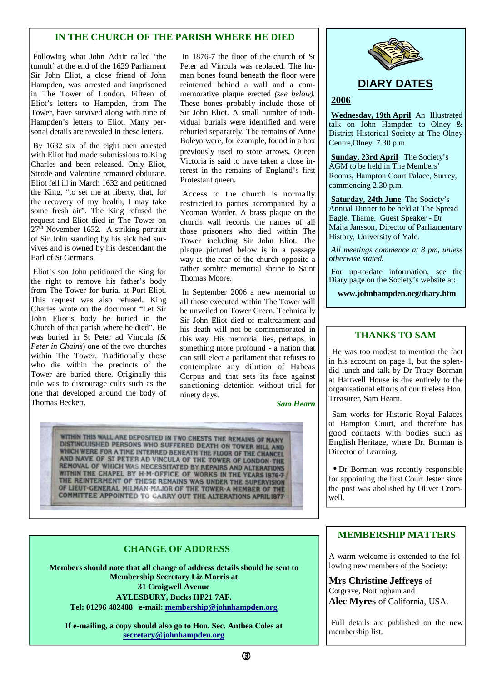# **IN THE CHURCH OF THE PARISH WHERE HE DIED**

 Following what John Adair called 'the tumult' at the end of the 1629 Parliament Sir John Eliot, a close friend of John Hampden, was arrested and imprisoned in The Tower of London. Fifteen of Eliot's letters to Hampden, from The Tower, have survived along with nine of Hampden's letters to Eliot. Many personal details are revealed in these letters.

 By 1632 six of the eight men arrested with Eliot had made submissions to King Charles and been released. Only Eliot, Strode and Valentine remained obdurate. Eliot fell ill in March 1632 and petitioned the King, "to set me at liberty, that, for the recovery of my health, I may take some fresh air". The King refused the request and Eliot died in The Tower on 27<sup>th</sup> November 1632. A striking portrait of Sir John standing by his sick bed survives and is owned by his descendant the Earl of St Germans.

 Eliot's son John petitioned the King for the right to remove his father's body from The Tower for burial at Port Eliot. This request was also refused. King Charles wrote on the document "Let Sir John Eliot's body be buried in the Church of that parish where he died". He was buried in St Peter ad Vincula (*St Peter in Chains*) one of the two churches within The Tower. Traditionally those who die within the precincts of the Tower are buried there. Originally this rule was to discourage cults such as the one that developed around the body of Thomas Beckett.

 In 1876-7 the floor of the church of St Peter ad Vincula was replaced. The human bones found beneath the floor were reinterred behind a wall and a commemorative plaque erected *(see below).* These bones probably include those of Sir John Eliot. A small number of individual burials were identified and were reburied separately. The remains of Anne Boleyn were, for example, found in a box previously used to store arrows. Queen Victoria is said to have taken a close interest in the remains of England's first Protestant queen.

 Access to the church is normally restricted to parties accompanied by a Yeoman Warder. A brass plaque on the church wall records the names of all those prisoners who died within The Tower including Sir John Eliot. The plaque pictured below is in a passage way at the rear of the church opposite a rather sombre memorial shrine to Saint Thomas Moore.

 In September 2006 a new memorial to all those executed within The Tower will be unveiled on Tower Green. Technically Sir John Eliot died of maltreatment and his death will not be commemorated in this way. His memorial lies, perhaps, in something more profound - a nation that can still elect a parliament that refuses to contemplate any dilution of Habeas Corpus and that sets its face against sanctioning detention without trial for ninety days.

#### *Sam Hearn*

WITHIN THIS WALL ARE DEPOSITED IN TWO CHESTS THE REMAINS OF MANY DISTINGUISHED PERSONS WHO SUFFERED DEATH ON TOWER HILL AND WHICH WERE FOR A TIME INTERRED BENEATH THE FLOOR OF THE CHANCEL AND NAVE OF ST PETER AD VINCULA OF THE TOWER OF LONDON THE REMOVAL OF WHICH WAS NECESSITATED BY REPAIRS AND ALTERATIONS WITHIN THE CHAPEL BY H-M-OFFICE OF WORKS IN THE YEARS 1876-7 THE REINTERMENT OF THESE REMAINS WAS UNDER THE SUPERVISION OF LIEUT-GENERAL MILMAN-MAJOR OF THE TOWER A MEMBER OF THE **COMMITTEE APPOINTED TO CARRY OUT THE ALTERATIONS APRIL 1877-**

# **CHANGE OF ADDRESS**

**Members should note that all change of address details should be sent to Membership Secretary Liz Morris at 31 Craigwell Avenue AYLESBURY, Bucks HP21 7AF. Tel: 01296 482488 e-mail: membership@johnhampden.org**

**If e-mailing, a copy should also go to Hon. Sec. Anthea Coles at secretary@johnhampden.org**



# **DIARY DATES**

## **2006**

**Wednesday, 19th April** An Illustrated talk on John Hampden to Olney & District Historical Society at The Olney Centre,Olney. 7.30 p.m.

**Sunday, 23rd April** The Society's AGM to be held in The Members' Rooms, Hampton Court Palace, Surrey, commencing 2.30 p.m.

**Saturday, 24th June** The Society's Annual Dinner to be held at The Spread Eagle, Thame. Guest Speaker - Dr Maija Jansson, Director of Parliamentary History, University of Yale.

*All meetings commence at 8 pm, unless otherwise stated.* 

For up-to-date information, see the Diary page on the Society's website at:

**www.johnhampden.org/diary.htm** 

# **THANKS TO SAM**

He was too modest to mention the fact in his account on page 1, but the splendid lunch and talk by Dr Tracy Borman at Hartwell House is due entirely to the organisational efforts of our tireless Hon. Treasurer, Sam Hearn.

Sam works for Historic Royal Palaces at Hampton Court, and therefore has good contacts with bodies such as English Heritage, where Dr. Borman is Director of Learning.

• Dr Borman was recently responsible for appointing the first Court Jester since the post was abolished by Oliver Cromwell.

# **MEMBERSHIP MATTERS**

A warm welcome is extended to the following new members of the Society:

**Mrs Christine Jeffreys** of Cotgrave, Nottingham and **Alec Myres** of California, USA.

Full details are published on the new membership list.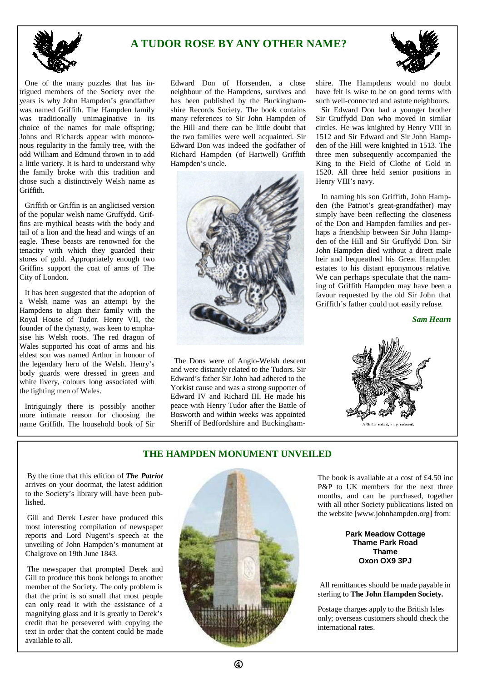# **A TUDOR ROSE BY ANY OTHER NAME?**



One of the many puzzles that has intrigued members of the Society over the years is why John Hampden's grandfather was named Griffith. The Hampden family was traditionally unimaginative in its choice of the names for male offspring; Johns and Richards appear with monotonous regularity in the family tree, with the odd William and Edmund thrown in to add a little variety. It is hard to understand why the family broke with this tradition and chose such a distinctively Welsh name as Griffith.

 Griffith or Griffin is an anglicised version of the popular welsh name Gruffydd. Griffins are mythical beasts with the body and tail of a lion and the head and wings of an eagle. These beasts are renowned for the tenacity with which they guarded their stores of gold. Appropriately enough two Griffins support the coat of arms of The City of London.

 It has been suggested that the adoption of a Welsh name was an attempt by the Hampdens to align their family with the Royal House of Tudor. Henry VII, the founder of the dynasty, was keen to emphasise his Welsh roots. The red dragon of Wales supported his coat of arms and his eldest son was named Arthur in honour of the legendary hero of the Welsh. Henry's body guards were dressed in green and white livery, colours long associated with the fighting men of Wales.

 Intriguingly there is possibly another more intimate reason for choosing the name Griffith. The household book of Sir

Edward Don of Horsenden, a close neighbour of the Hampdens, survives and has been published by the Buckinghamshire Records Society. The book contains many references to Sir John Hampden of the Hill and there can be little doubt that the two families were well acquainted. Sir Edward Don was indeed the godfather of Richard Hampden (of Hartwell) Griffith Hampden's uncle.



The Dons were of Anglo-Welsh descent and were distantly related to the Tudors. Sir Edward's father Sir John had adhered to the Yorkist cause and was a strong supporter of Edward IV and Richard III. He made his peace with Henry Tudor after the Battle of Bosworth and within weeks was appointed Sheriff of Bedfordshire and Buckingham-



shire. The Hampdens would no doubt have felt is wise to be on good terms with such well-connected and astute neighbours.

 Sir Edward Don had a younger brother Sir Gruffydd Don who moved in similar circles. He was knighted by Henry VIII in 1512 and Sir Edward and Sir John Hampden of the Hill were knighted in 1513. The three men subsequently accompanied the King to the Field of Clothe of Gold in 1520. All three held senior positions in Henry VIII's navy.

 In naming his son Griffith, John Hampden (the Patriot's great-grandfather) may simply have been reflecting the closeness of the Don and Hampden families and perhaps a friendship between Sir John Hampden of the Hill and Sir Gruffydd Don. Sir John Hampden died without a direct male heir and bequeathed his Great Hampden estates to his distant eponymous relative. We can perhaps speculate that the naming of Griffith Hampden may have been a favour requested by the old Sir John that Griffith's father could not easily refuse.

*Sam Hearn* 



# **THE HAMPDEN MONUMENT UNVEILED**

 By the time that this edition of *The Patriot* arrives on your doormat, the latest addition to the Society's library will have been published.

 Gill and Derek Lester have produced this most interesting compilation of newspaper reports and Lord Nugent's speech at the unveiling of John Hampden's monument at Chalgrove on 19th June 1843.

 The newspaper that prompted Derek and Gill to produce this book belongs to another member of the Society. The only problem is that the print is so small that most people can only read it with the assistance of a magnifying glass and it is greatly to Derek's credit that he persevered with copying the text in order that the content could be made available to all.



The book is available at a cost of £4.50 inc P&P to UK members for the next three months, and can be purchased, together with all other Society publications listed on the website [www.johnhampden.org] from:

#### **Park Meadow Cottage Thame Park Road Thame Oxon OX9 3PJ**

 All remittances should be made payable in sterling to **The John Hampden Society.**

Postage charges apply to the British Isles only; overseas customers should check the international rates.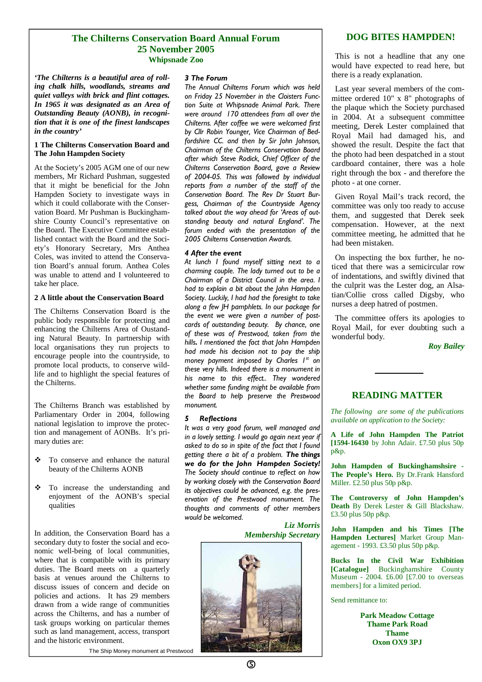#### **The Chilterns Conservation Board Annual Forum 25 November 2005 Whipsnade Zoo**

*'The Chilterns is a beautiful area of rolling chalk hills, woodlands, streams and quiet valleys with brick and flint cottages. In 1965 it was designated as an Area of Outstanding Beauty (AONB), in recognition that it is one of the finest landscapes in the country'*

#### **1 The Chilterns Conservation Board and The John Hampden Society**

At the Society's 2005 AGM one of our new members, Mr Richard Pushman, suggested that it might be beneficial for the John Hampden Society to investigate ways in which it could collaborate with the Conservation Board. Mr Pushman is Buckinghamshire County Council's representative on the Board. The Executive Committee established contact with the Board and the Society's Honorary Secretary, Mrs Anthea Coles, was invited to attend the Conservation Board's annual forum. Anthea Coles was unable to attend and I volunteered to take her place.

#### **2 A little about the Conservation Board**

The Chilterns Conservation Board is the public body responsible for protecting and enhancing the Chilterns Area of Oustanding Natural Beauty. In partnership with local organisations they run projects to encourage people into the countryside, to promote local products, to conserve wildlife and to highlight the special features of the Chilterns.

The Chilterns Branch was established by Parliamentary Order in 2004, following national legislation to improve the protection and management of AONBs. It's primary duties are:

- $\cdot$  To conserve and enhance the natural beauty of the Chilterns AONB
- $\frac{1}{2}$  To increase the understanding and enjoyment of the AONB's special qualities

In addition, the Conservation Board has a secondary duty to foster the social and economic well-being of local communities, where that is compatible with its primary duties. The Board meets on a quarterly basis at venues around the Chilterns to discuss issues of concern and decide on policies and actions. It has 29 members drawn from a wide range of communities across the Chilterns, and has a number of task groups working on particular themes such as land management, access, transport and the historic environment.

#### The Ship Money monument at Prestwood

#### 3 The Forum

The Annual Chilterns Forum which was held on Friday 25 November in the Cloisters Function Suite at Whipsnade Animal Park. There were around 170 attendees from all over the Chilterns. After coffee we were welcomed first by Cllr Robin Younger, Vice Chairman of Bedfordshire CC. and then by Sir John Johnson, Chairman of the Chilterns Conservation Board after which Steve Rodick, Chief Officer of the Chilterns Conservation Board, gave a Review of 2004-05. This was followed by individual reports from a number of the staff of the Conservation Board. The Rev Dr Stuart Burgess, Chairman of the Countryside Agency talked about the way ahead for 'Areas of outstanding beauty and natural England'. The forum ended with the presentation of the 2005 Chilterns Conservation Awards.

#### 4 After the event

At lunch I found myself sitting next to a charming couple. The lady turned out to be a Chairman of a District Council in the area. I had to explain a bit about the John Hampden Society. Luckily, I had had the foresight to take along a few JH pamphlets. In our package for the event we were given a number of postcards of outstanding beauty. By chance, one of these was of Prestwood, taken from the hills. I mentioned the fact that John Hampden had made his decision not to pay the ship money payment imposed by Charles  $I^st$  on these very hills. Indeed there is a monument in his name to this effect.. They wondered whether some funding might be available from the Board to help preserve the Prestwood monument.

#### 5 Reflections

It was a very good forum, well managed and in a lovely setting. I would go again next year if asked to do so in spite of the fact that I found getting there a bit of a problem. The things we do for the John Hampden Society! The Society should continue to reflect on how by working closely with the Conservation Board its objectives could be advanced, e.g. the preservation of the Prestwood monument. The thoughts and comments of other members would be welcomed.

#### *Liz Morris Membership Secretary*



# **DOG BITES HAMPDEN!**

This is not a headline that any one would have expected to read here, but there is a ready explanation.

Last year several members of the committee ordered 10" x 8" photographs of the plaque which the Society purchased in 2004. At a subsequent committee meeting, Derek Lester complained that Royal Mail had damaged his, and showed the result. Despite the fact that the photo had been despatched in a stout cardboard container, there was a hole right through the box - and therefore the photo - at one corner.

Given Royal Mail's track record, the committee was only too ready to accuse them, and suggested that Derek seek compensation. However, at the next committee meeting, he admitted that he had been mistaken.

On inspecting the box further, he noticed that there was a semicircular row of indentations, and swiftly divined that the culprit was the Lester dog, an Alsatian/Collie cross called Digsby, who nurses a deep hatred of postmen.

The committee offers its apologies to Royal Mail, for ever doubting such a wonderful body.

*Roy Bailey*

# **READING MATTER**

*The following are some of the publications available on application to the Society:* 

**A Life of John Hampden The Patriot [1594-16430** by John Adair. £7.50 plus 50p p&p.

**John Hampden of Buckinghamshsire - The People's Hero.** By Dr.Frank Hansford Miller.  $\hat{\epsilon}2.50$  plus 50p p&p.

**The Controversy of John Hampden's Death** By Derek Lester & Gill Blackshaw. £3.50 plus 50p p&p.

**John Hampden and his Times [The Hampden Lectures]** Market Group Management - 1993. £3.50 plus 50p p&p.

**Bucks In the Civil War Exhibition [Catalogue]** Buckinghamshire County Museum - 2004. £6.00 [£7.00 to overseas members] for a limited period.

Send remittance to:

**Park Meadow Cottage Thame Park Road Thame Oxon OX9 3PJ**